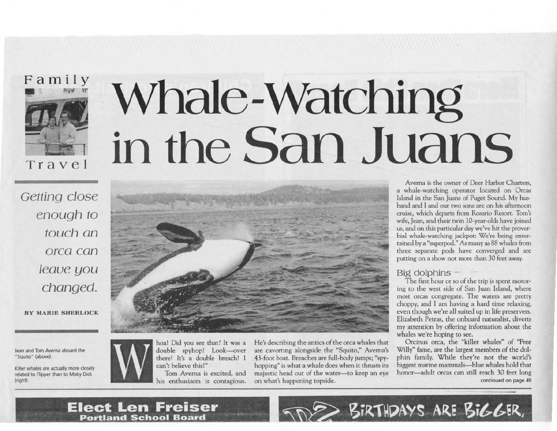Family

Travel

# Whale-Watching in the San Juans

Getting close enough to touch an orca can leave you changed.

**BY MARIE SHERLOCK** 

Jean and Tom Averna aboard the "Squito" (above).

Killer whales are actually more closely related to Flipper than to Moby Dick (right).



hoa! Did you see that? It was a double spyhop! Look-over there! It's a double breach! I can't believe this!"

Tom Averna is excited, and his enthusiasm is contagious. He's describing the antics of the orca whales that are cavorting alongside the "Squito," Averna's 43-foot boat. Breaches are full-body jumps; "spyhopping" is what a whale does when it thrusts its majestic head out of the water-to keep an eye on what's happening topside.

Averna is the owner of Deer Harbor Charters, a whale-watching operator located on Orcas Island in the San Juans of Puget Sound. My husband and I and our two sons are on his afternoon cruise, which departs from Rosario Resort. Tom's wife, Jean, and their twin 10-year-olds have joined us, and on this particular day we've hit the proverbial whale-watching jackpot: We're being entertained by a "superpod." As many as 88 whales from three separate pods have converged and are putting on a show not more than 30 feet away.

### Big dolphins ~

The first hour or so of the trip is spent motoring to the west side of San Juan Island, where most orcas congregate. The waters are pretty choppy, and I am having a hard time relaxing, even though we're all suited up in life preservers. Elizabeth Petras, the onboard naturalist, diverts my attention by offering information about the whales we're hoping to see.

Orcinus orca, the "killer whales" of "Free Willy" fame, are the largest members of the dolphin family. While they're not the world's biggest marine mammals-blue whales hold that honor-adult orcas can still reach 30 feet long continued on page 49

BIRTHDAYS ARE BIGGER,